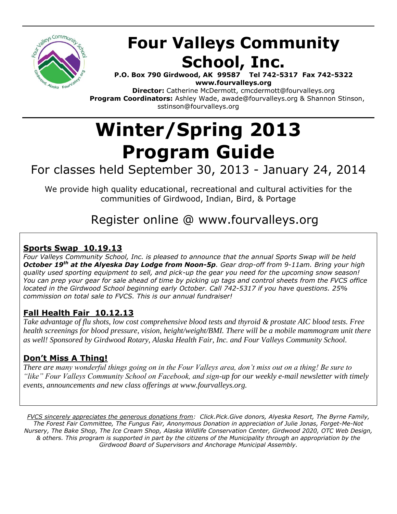

# **Four Valleys Community School, Inc.**

**P.O. Box 790 Girdwood, AK 99587 Tel 742-5317 Fax 742-5322 www.fourvalleys.org**

**Director:** Catherine McDermott, cmcdermott@fourvalleys.org  **Program Coordinators:** Ashley Wade, awade@fourvalleys.org & Shannon Stinson, sstinson@fourvalleys.org

# **Winter/Spring 2013 Program Guide**

## For classes held September 30, 2013 - January 24, 2014

We provide high quality educational, recreational and cultural activities for the communities of Girdwood, Indian, Bird, & Portage

## Register online @ www.fourvalleys.org

## **Sports Swap 10.19.13**

*Four Valleys Community School, Inc. is pleased to announce that the annual Sports Swap will be held October 19th at the Alyeska Day Lodge from Noon-5p. Gear drop-off from 9-11am. Bring your high quality used sporting equipment to sell, and pick-up the gear you need for the upcoming snow season! You can prep your gear for sale ahead of time by picking up tags and control sheets from the FVCS office located in the Girdwood School beginning early October. Call 742-5317 if you have questions. 25% commission on total sale to FVCS. This is our annual fundraiser!*

## **Fall Health Fair 10.12.13**

*Take advantage of flu shots, low cost comprehensive blood tests and thyroid & prostate AIC blood tests. Free health screenings for blood pressure, vision, height/weight/BMI. There will be a mobile mammogram unit there as well! Sponsored by Girdwood Rotary, Alaska Health Fair, Inc. and Four Valleys Community School.*

## **Don't Miss A Thing!**

*There are many wonderful things going on in the Four Valleys area, don't miss out on a thing! Be sure to "like" Four Valleys Community School on Facebook, and sign-up for our weekly e-mail newsletter with timely events, announcements and new class offerings at www.fourvalleys.org.* 

*FVCS sincerely appreciates the generous donations from: Click.Pick.Give donors, Alyeska Resort, The Byrne Family, The Forest Fair Committee, The Fungus Fair, Anonymous Donation in appreciation of Julie Jonas, Forget-Me-Not Nursery, The Bake Shop, The Ice Cream Shop, Alaska Wildlife Conservation Center, Girdwood 2020, OTC Web Design, & others. This program is supported in part by the citizens of the Municipality through an appropriation by the Girdwood Board of Supervisors and Anchorage Municipal Assembly.*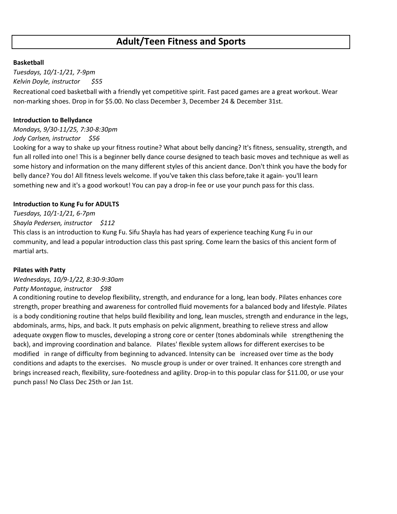#### **Basketball**

*Tuesdays, 10/1-1/21, 7-9pm Kelvin Doyle, instructor \$55* Recreational coed basketball with a friendly yet competitive spirit. Fast paced games are a great workout. Wear non-marking shoes. Drop in for \$5.00. No class December 3, December 24 & December 31st.

#### **Introduction to Bellydance**

*Mondays, 9/30-11/25, 7:30-8:30pm*

#### *Jody Carlsen, instructor \$56*

Looking for a way to shake up your fitness routine? What about belly dancing? It's fitness, sensuality, strength, and fun all rolled into one! This is a beginner belly dance course designed to teach basic moves and technique as well as some history and information on the many different styles of this ancient dance. Don't think you have the body for belly dance? You do! All fitness levels welcome. If you've taken this class before,take it again- you'll learn something new and it's a good workout! You can pay a drop-in fee or use your punch pass for this class.

#### **Introduction to Kung Fu for ADULTS**

#### *Tuesdays, 10/1-1/21, 6-7pm*

#### *Shayla Pedersen, instructor \$112*

This class is an introduction to Kung Fu. Sifu Shayla has had years of experience teaching Kung Fu in our community, and lead a popular introduction class this past spring. Come learn the basics of this ancient form of martial arts.

#### **Pilates with Patty**

#### *Wednesdays, 10/9-1/22, 8:30-9:30am*

#### *Patty Montague, instructor \$98*

A conditioning routine to develop flexibility, strength, and endurance for a long, lean body. Pilates enhances core strength, proper breathing and awareness for controlled fluid movements for a balanced body and lifestyle. Pilates is a body conditioning routine that helps build flexibility and long, lean muscles, strength and endurance in the legs, abdominals, arms, hips, and back. It puts emphasis on pelvic alignment, breathing to relieve stress and allow adequate oxygen flow to muscles, developing a strong core or center (tones abdominals while strengthening the back), and improving coordination and balance. Pilates' flexible system allows for different exercises to be modified in range of difficulty from beginning to advanced. Intensity can be increased over time as the body conditions and adapts to the exercises. No muscle group is under or over trained. It enhances core strength and brings increased reach, flexibility, sure-footedness and agility. Drop-in to this popular class for \$11.00, or use your punch pass! No Class Dec 25th or Jan 1st.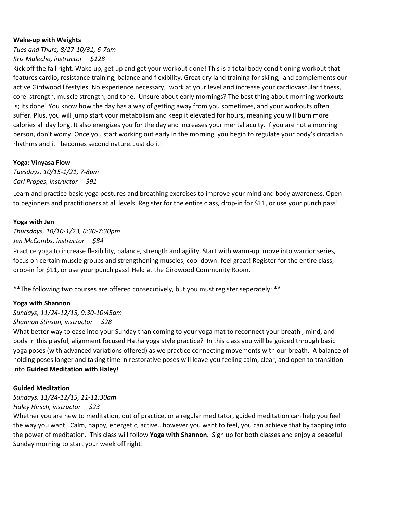#### **Wake-up with Weights**

*Tues and Thurs, 8/27-10/31, 6-7am Kris Malecha, instructor \$128*

Kick off the fall right. Wake up, get up and get your workout done! This is a total body conditioning workout that features cardio, resistance training, balance and flexibility. Great dry land training for skiing, and complements our active Girdwood lifestyles. No experience necessary; work at your level and increase your cardiovascular fitness, core strength, muscle strength, and tone. Unsure about early mornings? The best thing about morning workouts is; its done! You know how the day has a way of getting away from you sometimes, and your workouts often suffer. Plus, you will jump start your metabolism and keep it elevated for hours, meaning you will burn more calories all day long. It also energizes you for the day and increases your mental acuity. If you are not a morning person, don't worry. Once you start working out early in the morning, you begin to regulate your body's circadian rhythms and it becomes second nature. Just do it!

#### **Yoga: Vinyasa Flow**

*Tuesdays, 10/15-1/21, 7-8pm Carl Propes, instructor \$91*

Learn and practice basic yoga postures and breathing exercises to improve your mind and body awareness. Open to beginners and practitioners at all levels. Register for the entire class, drop-in for \$11, or use your punch pass!

#### **Yoga with Jen**

*Thursdays, 10/10-1/23, 6:30-7:30pm Jen McCombs, instructor \$84*

Practice yoga to increase flexibility, balance, strength and agility. Start with warm-up, move into warrior series, focus on certain muscle groups and strengthening muscles, cool down- feel great! Register for the entire class, drop-in for \$11, or use your punch pass! Held at the Girdwood Community Room.

**\*\***The following two courses are offered consecutively, but you must register seperately: **\*\***

#### **Yoga with Shannon**

*Sundays, 11/24-12/15, 9:30-10:45am*

#### *Shannon Stinson, instructor \$28*

What better way to ease into your Sunday than coming to your yoga mat to reconnect your breath , mind, and body in this playful, alignment focused Hatha yoga style practice? In this class you will be guided through basic yoga poses (with advanced variations offered) as we practice connecting movements with our breath. A balance of holding poses longer and taking time in restorative poses will leave you feeling calm, clear, and open to transition into **Guided Meditation with Haley**!

#### **Guided Meditation**

*Sundays, 11/24-12/15, 11-11:30am*

#### *Haley Hirsch, instructor \$23*

Whether you are new to meditation, out of practice, or a regular meditator, guided meditation can help you feel the way you want. Calm, happy, energetic, active…however you want to feel, you can achieve that by tapping into the power of meditation. This class will follow **Yoga with Shannon**. Sign up for both classes and enjoy a peaceful Sunday morning to start your week off right!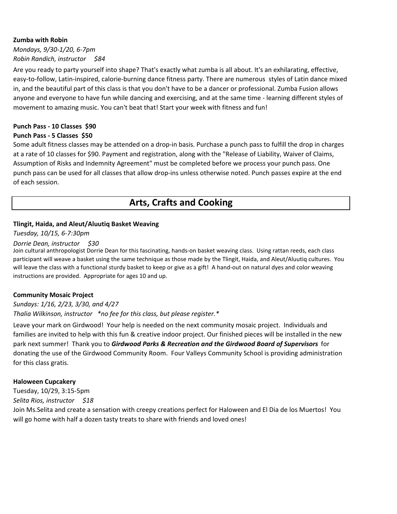#### **Zumba with Robin**

*Mondays, 9/30-1/20, 6-7pm Robin Randich, instructor \$84*

Are you ready to party yourself into shape? That's exactly what zumba is all about. It's an exhilarating, effective, easy-to-follow, Latin-inspired, calorie-burning dance fitness party. There are numerous styles of Latin dance mixed in, and the beautiful part of this class is that you don't have to be a dancer or professional. Zumba Fusion allows anyone and everyone to have fun while dancing and exercising, and at the same time - learning different styles of movement to amazing music. You can't beat that! Start your week with fitness and fun!

#### **Punch Pass - 10 Classes \$90**

#### **Punch Pass - 5 Classes \$50**

Some adult fitness classes may be attended on a drop-in basis. Purchase a punch pass to fulfill the drop in charges at a rate of 10 classes for \$90. Payment and registration, along with the "Release of Liability, Waiver of Claims, Assumption of Risks and Indemnity Agreement" must be completed before we process your punch pass. One punch pass can be used for all classes that allow drop-ins unless otherwise noted. Punch passes expire at the end of each session.

## **Arts, Crafts and Cooking**

#### **Tlingit, Haida, and Aleut/Aluutiq Basket Weaving**

*Tuesday, 10/15, 6-7:30pm*

#### *Dorrie Dean, instructor \$30*

Join cultural anthropologist Dorrie Dean for this fascinating, hands-on basket weaving class. Using rattan reeds, each class participant will weave a basket using the same technique as those made by the Tlingit, Haida, and Aleut/Aluutiq cultures. You will leave the class with a functional sturdy basket to keep or give as a gift! A hand-out on natural dyes and color weaving instructions are provided. Appropriate for ages 10 and up.

#### **Community Mosaic Project**

#### *Sundays: 1/16, 2/23, 3/30, and 4/27*

*Thalia Wilkinson, instructor \*no fee for this class, but please register.\**

Leave your mark on Girdwood! Your help is needed on the next community mosaic project. Individuals and families are invited to help with this fun & creative indoor project. Our finished pieces will be installed in the new park next summer! Thank you to *Girdwood Parks & Recreation and the Girdwood Board of Supervisors* for donating the use of the Girdwood Community Room. Four Valleys Community School is providing administration for this class gratis.

#### **Haloween Cupcakery**

Tuesday, 10/29, 3:15-5pm *Selita Rios, instructor \$18*

Join Ms.Selita and create a sensation with creepy creations perfect for Haloween and El Dia de los Muertos! You will go home with half a dozen tasty treats to share with friends and loved ones!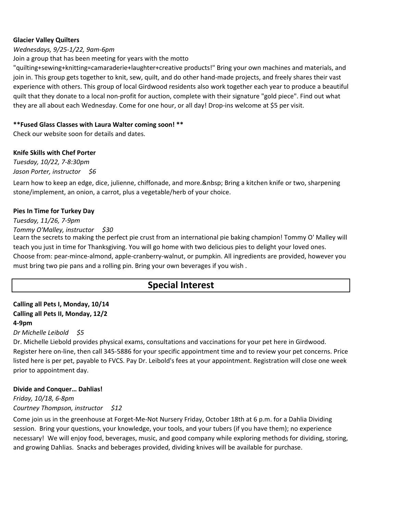#### **Glacier Valley Quilters**

#### *Wednesdays, 9/25-1/22, 9am-6pm*

Join a group that has been meeting for years with the motto

"quilting+sewing+knitting=camaraderie+laughter+creative products!" Bring your own machines and materials, and join in. This group gets together to knit, sew, quilt, and do other hand-made projects, and freely shares their vast experience with others. This group of local Girdwood residents also work together each year to produce a beautiful quilt that they donate to a local non-profit for auction, complete with their signature "gold piece". Find out what they are all about each Wednesday. Come for one hour, or all day! Drop-ins welcome at \$5 per visit.

#### **\*\*Fused Glass Classes with Laura Walter coming soon! \*\***

Check our website soon for details and dates.

#### **Knife Skills with Chef Porter**

*Tuesday, 10/22, 7-8:30pm Jason Porter, instructor \$6*

Learn how to keep an edge, dice, julienne, chiffonade, and more. & nbsp; Bring a kitchen knife or two, sharpening stone/implement, an onion, a carrot, plus a vegetable/herb of your choice.

#### **Pies In Time for Turkey Day**

*Tuesday, 11/26, 7-9pm Tommy O'Malley, instructor \$30*

Learn the secrets to making the perfect pie crust from an international pie baking champion! Tommy O' Malley will teach you just in time for Thanksgiving. You will go home with two delicious pies to delight your loved ones. Choose from: pear-mince-almond, apple-cranberry-walnut, or pumpkin. All ingredients are provided, however you must bring two pie pans and a rolling pin. Bring your own beverages if you wish .

## **Special Interest**

#### **Calling all Pets I, Monday, 10/14 Calling all Pets II, Monday, 12/2 4-9pm**

#### *Dr Michelle Leibold \$5*

Dr. Michelle Liebold provides physical exams, consultations and vaccinations for your pet here in Girdwood. Register here on-line, then call 345-5886 for your specific appointment time and to review your pet concerns. Price listed here is per pet, payable to FVCS. Pay Dr. Leibold's fees at your appointment. Registration will close one week prior to appointment day.

#### **Divide and Conquer… Dahlias!**

*Friday, 10/18, 6-8pm Courtney Thompson, instructor \$12*

Come join us in the greenhouse at Forget-Me-Not Nursery Friday, October 18th at 6 p.m. for a Dahlia Dividing session. Bring your questions, your knowledge, your tools, and your tubers (if you have them); no experience necessary! We will enjoy food, beverages, music, and good company while exploring methods for dividing, storing, and growing Dahlias. Snacks and beberages provided, dividing knives will be available for purchase.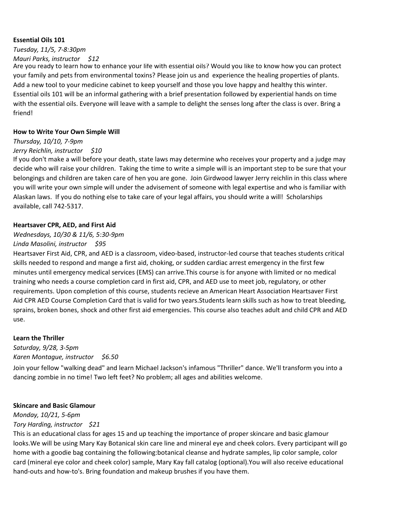#### **Essential Oils 101**

*Tuesday, 11/5, 7-8:30pm Mauri Parks, instructor \$12*

Are you ready to learn how to enhance your life with essential oils? Would you like to know how you can protect your family and pets from environmental toxins? Please join us and experience the healing properties of plants. Add a new tool to your medicine cabinet to keep yourself and those you love happy and healthy this winter. Essential oils 101 will be an informal gathering with a brief presentation followed by experiential hands on time with the essential oils. Everyone will leave with a sample to delight the senses long after the class is over. Bring a friend!

#### **How to Write Your Own Simple Will**

## *Thursday, 10/10, 7-9pm*

*Jerry Reichlin, instructor \$10*

If you don't make a will before your death, state laws may determine who receives your property and a judge may decide who will raise your children. Taking the time to write a simple will is an important step to be sure that your belongings and children are taken care of hen you are gone. Join Girdwood lawyer Jerry reichlin in this class where you will write your own simple will under the advisement of someone with legal expertise and who is familiar with Alaskan laws. If you do nothing else to take care of your legal affairs, you should write a will! Scholarships available, call 742-5317.

#### **Heartsaver CPR, AED, and First Aid**

#### *Wednesdays, 10/30 & 11/6, 5:30-9pm*

#### *Linda Masolini, instructor \$95*

Heartsaver First Aid, CPR, and AED is a classroom, video-based, instructor-led course that teaches students critical skills needed to respond and mange a first aid, choking, or sudden cardiac arrest emergency in the first few minutes until emergency medical services (EMS) can arrive.This course is for anyone with limited or no medical training who needs a course completion card in first aid, CPR, and AED use to meet job, regulatory, or other requirements. Upon completion of this course, students recieve an American Heart Association Heartsaver First Aid CPR AED Course Completion Card that is valid for two years.Students learn skills such as how to treat bleeding, sprains, broken bones, shock and other first aid emergencies. This course also teaches adult and child CPR and AED use.

#### **Learn the Thriller**

*Saturday, 9/28, 3-5pm Karen Montague, instructor \$6.50*

Join your fellow "walking dead" and learn Michael Jackson's infamous "Thriller" dance. We'll transform you into a dancing zombie in no time! Two left feet? No problem; all ages and abilities welcome.

#### **Skincare and Basic Glamour**

*Monday, 10/21, 5-6pm Tory Harding, instructor \$21*

This is an educational class for ages 15 and up teaching the importance of proper skincare and basic glamour looks.We will be using Mary Kay Botanical skin care line and mineral eye and cheek colors. Every participant will go home with a goodie bag containing the following:botanical cleanse and hydrate samples, lip color sample, color card (mineral eye color and cheek color) sample, Mary Kay fall catalog (optional).You will also receive educational hand-outs and how-to's. Bring foundation and makeup brushes if you have them.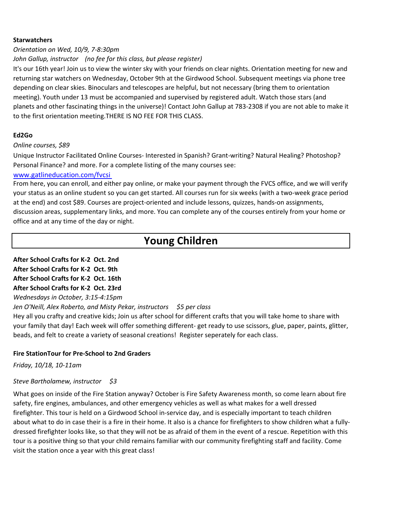#### **Starwatchers**

#### *Orientation on Wed, 10/9, 7-8:30pm*

#### *John Gallup, instructor (no fee for this class, but please register)*

It's our 16th year! Join us to view the winter sky with your friends on clear nights. Orientation meeting for new and returning star watchers on Wednesday, October 9th at the Girdwood School. Subsequent meetings via phone tree depending on clear skies. Binoculars and telescopes are helpful, but not necessary (bring them to orientation meeting). Youth under 13 must be accompanied and supervised by registered adult. Watch those stars (and planets and other fascinating things in the universe)! Contact John Gallup at 783-2308 if you are not able to make it to the first orientation meeting.THERE IS NO FEE FOR THIS CLASS.

#### **Ed2Go**

#### *Online courses, \$89*

Unique Instructor Facilitated Online Courses- Interested in Spanish? Grant-writing? Natural Healing? Photoshop? Personal Finance? and more. For a complete listing of the many courses see:

#### [www.gatlineducation.com/fvcsi](http://www.gatlineducation.com/fvcsi)

From here, you can enroll, and either pay online, or make your payment through the FVCS office, and we will verify your status as an online student so you can get started. All courses run for six weeks (with a two-week grace period at the end) and cost \$89. Courses are project-oriented and include lessons, quizzes, hands-on assignments, discussion areas, supplementary links, and more. You can complete any of the courses entirely from your home or office and at any time of the day or night.

## **Young Children**

#### **After School Crafts for K-2 Oct. 2nd After School Crafts for K-2 Oct. 9th After School Crafts for K-2 Oct. 16th After School Crafts for K-2 Oct. 23rd** *Wednesdays in October, 3:15-4:15pm*

*Jen O'Neill, Alex Roberto, and Misty Pekar, instructors \$5 per class*

Hey all you crafty and creative kids; Join us after school for different crafts that you will take home to share with your family that day! Each week will offer something different- get ready to use scissors, glue, paper, paints, glitter, beads, and felt to create a variety of seasonal creations! Register seperately for each class.

#### **Fire StationTour for Pre-School to 2nd Graders**

*Friday, 10/18, 10-11am*

#### *Steve Bartholamew, instructor \$3*

What goes on inside of the Fire Station anyway? October is Fire Safety Awareness month, so come learn about fire safety, fire engines, ambulances, and other emergency vehicles as well as what makes for a well dressed firefighter. This tour is held on a Girdwood School in-service day, and is especially important to teach children about what to do in case their is a fire in their home. It also is a chance for firefighters to show children what a fullydressed firefighter looks like, so that they will not be as afraid of them in the event of a rescue. Repetition with this tour is a positive thing so that your child remains familiar with our community firefighting staff and facility. Come visit the station once a year with this great class!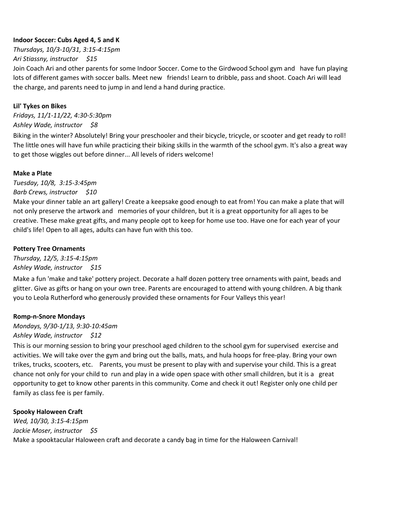#### **Indoor Soccer: Cubs Aged 4, 5 and K**

*Thursdays, 10/3-10/31, 3:15-4:15pm Ari Stiassny, instructor \$15* 

Join Coach Ari and other parents for some Indoor Soccer. Come to the Girdwood School gym and have fun playing lots of different games with soccer balls. Meet new friends! Learn to dribble, pass and shoot. Coach Ari will lead the charge, and parents need to jump in and lend a hand during practice.

#### **Lil' Tykes on Bikes**

*Fridays, 11/1-11/22, 4:30-5:30pm Ashley Wade, instructor \$8*

Biking in the winter? Absolutely! Bring your preschooler and their bicycle, tricycle, or scooter and get ready to roll! The little ones will have fun while practicing their biking skills in the warmth of the school gym. It's also a great way to get those wiggles out before dinner... All levels of riders welcome!

#### **Make a Plate**

*Tuesday, 10/8, 3:15-3:45pm Barb Crews, instructor \$10*

Make your dinner table an art gallery! Create a keepsake good enough to eat from! You can make a plate that will not only preserve the artwork and memories of your children, but it is a great opportunity for all ages to be creative. These make great gifts, and many people opt to keep for home use too. Have one for each year of your child's life! Open to all ages, adults can have fun with this too.

#### **Pottery Tree Ornaments**

*Thursday, 12/5, 3:15-4:15pm Ashley Wade, instructor \$15*

Make a fun 'make and take' pottery project. Decorate a half dozen pottery tree ornaments with paint, beads and glitter. Give as gifts or hang on your own tree. Parents are encouraged to attend with young children. A big thank you to Leola Rutherford who generously provided these ornaments for Four Valleys this year!

#### **Romp-n-Snore Mondays**

*Mondays, 9/30-1/13, 9:30-10:45am Ashley Wade, instructor \$12*

This is our morning session to bring your preschool aged children to the school gym for supervised exercise and activities. We will take over the gym and bring out the balls, mats, and hula hoops for free-play. Bring your own trikes, trucks, scooters, etc. Parents, you must be present to play with and supervise your child. This is a great chance not only for your child to run and play in a wide open space with other small children, but it is a great opportunity to get to know other parents in this community. Come and check it out! Register only one child per family as class fee is per family.

#### **Spooky Haloween Craft**

*Wed, 10/30, 3:15-4:15pm Jackie Moser, instructor \$5* Make a spooktacular Haloween craft and decorate a candy bag in time for the Haloween Carnival!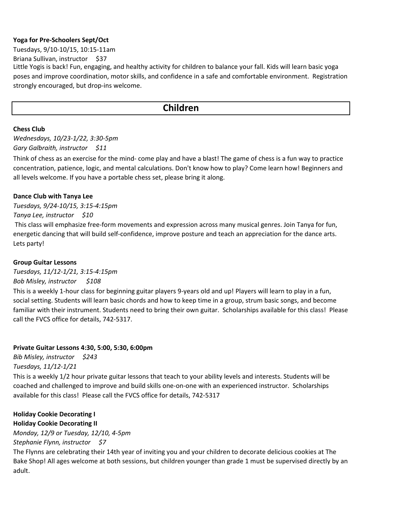#### **Yoga for Pre-Schoolers Sept/Oct**

Tuesdays, 9/10-10/15, 10:15-11am

Briana Sullivan, instructor \$37

Little Yogis is back! Fun, engaging, and healthy activity for children to balance your fall. Kids will learn basic yoga poses and improve coordination, motor skills, and confidence in a safe and comfortable environment. Registration strongly encouraged, but drop-ins welcome.

## **Children**

#### **Chess Club**

*Wednesdays, 10/23-1/22, 3:30-5pm Gary Galbraith, instructor \$11*

Think of chess as an exercise for the mind- come play and have a blast! The game of chess is a fun way to practice concentration, patience, logic, and mental calculations. Don't know how to play? Come learn how! Beginners and all levels welcome. If you have a portable chess set, please bring it along.

#### **Dance Club with Tanya Lee**

*Tuesdays, 9/24-10/15, 3:15-4:15pm*

#### *Tanya Lee, instructor \$10*

 This class will emphasize free-form movements and expression across many musical genres. Join Tanya for fun, energetic dancing that will build self-confidence, improve posture and teach an appreciation for the dance arts. Lets party!

#### **Group Guitar Lessons**

*Tuesdays, 11/12-1/21, 3:15-4:15pm Bob Misley, instructor \$108* 

This is a weekly 1-hour class for beginning guitar players 9-years old and up! Players will learn to play in a fun, social setting. Students will learn basic chords and how to keep time in a group, strum basic songs, and become familiar with their instrument. Students need to bring their own guitar. Scholarships available for this class! Please call the FVCS office for details, 742-5317.

#### **Private Guitar Lessons 4:30, 5:00, 5:30, 6:00pm**

*Bib Misley, instructor \$243 Tuesdays, 11/12-1/21* 

This is a weekly 1/2 hour private guitar lessons that teach to your ability levels and interests. Students will be coached and challenged to improve and build skills one-on-one with an experienced instructor. Scholarships available for this class! Please call the FVCS office for details, 742-5317

#### **Holiday Cookie Decorating I**

**Holiday Cookie Decorating II** *Monday, 12/9 or Tuesday, 12/10, 4-5pm*

*Stephanie Flynn, instructor \$7*

The Flynns are celebrating their 14th year of inviting you and your children to decorate delicious cookies at The Bake Shop! All ages welcome at both sessions, but children younger than grade 1 must be supervised directly by an adult.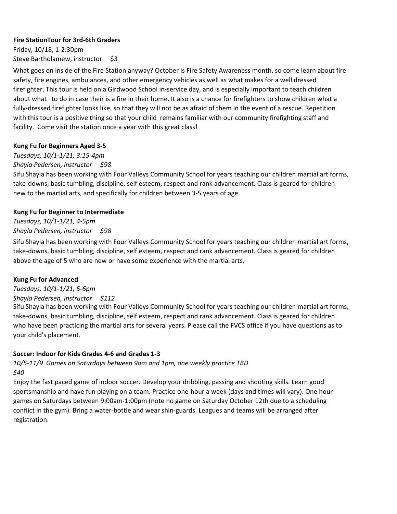#### **Fire StationTour for 3rd-6th Graders**

Friday, 10/18, 1-2:30pm Steve Bartholamew, instructor \$3

What goes on inside of the Fire Station anyway? October is Fire Safety Awareness month, so come learn about fire safety, fire engines, ambulances, and other emergency vehicles as well as what makes for a well dressed firefighter. This tour is held on a Girdwood School in-service day, and is especially important to teach children about what to do in case their is a fire in their home. It also is a chance for firefighters to show children what a fully-dressed firefighter looks like, so that they will not be as afraid of them in the event of a rescue. Repetition with this tour is a positive thing so that your child remains familiar with our community firefighting staff and facility. Come visit the station once a year with this great class!

#### **Kung Fu for Beginners Aged 3-5**

## *Tuesdays, 10/1-1/21, 3:15-4pm*

#### *Shayla Pedersen, instructor \$98*

Sifu Shayla has been working with Four Valleys Community School for years teaching our children martial art forms, take-downs, basic tumbling, discipline, self esteem, respect and rank advancement. Class is geared for children new to the martial arts, and specifically for children between 3-5 years of age.

#### **Kung Fu for Beginner to Intermediate**

*Tuesdays, 10/1-1/21, 4-5pm Shayla Pedersen, instructor \$98*

Sifu Shayla has been working with Four Valleys Community School for years teaching our children martial art forms, take-downs, basic tumbling, discipline, self esteem, respect and rank advancement. Class is geared for children above the age of 5 who are new or have some experience with the martial arts.

#### **Kung Fu for Advanced**

### *Tuesdays, 10/1-1/21, 5-6pm*

#### *Shayla Pedersen, instructor \$112*

Sifu Shayla has been working with Four Valleys Community School for years teaching our children martial art forms, take-downs, basic tumbling, discipline, self esteem, respect and rank advancement. Class is geared for children who have been practicing the martial arts for several years. Please call the FVCS office if you have questions as to your child's placement.

#### **Soccer: Indoor for Kids Grades 4-6 and Grades 1-3**

#### *10/5-11/9 Games on Saturdays between 9am and 1pm, one weekly practice TBD \$40*

Enjoy the fast paced game of indoor soccer. Develop your dribbling, passing and shooting skills. Learn good sportsmanship and have fun playing on a team. Practice one-hour a week (days and times will vary). One hour games on Saturdays between 9:00am-1:00pm (note no game on Saturday October 12th due to a scheduling conflict in the gym). Bring a water-bottle and wear shin-guards. Leagues and teams will be arranged after registration.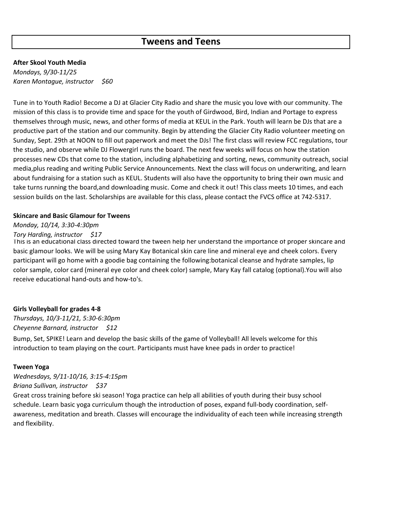### **Tweens and Teens**

#### **After Skool Youth Media**

*Mondays, 9/30-11/25 Karen Montague, instructor \$60*

Tune in to Youth Radio! Become a DJ at Glacier City Radio and share the music you love with our community. The mission of this class is to provide time and space for the youth of Girdwood, Bird, Indian and Portage to express themselves through music, news, and other forms of media at KEUL in the Park. Youth will learn be DJs that are a productive part of the station and our community. Begin by attending the Glacier City Radio volunteer meeting on Sunday, Sept. 29th at NOON to fill out paperwork and meet the DJs! The first class will review FCC regulations, tour the studio, and observe while DJ Flowergirl runs the board. The next few weeks will focus on how the station processes new CDs that come to the station, including alphabetizing and sorting, news, community outreach, social media,plus reading and writing Public Service Announcements. Next the class will focus on underwriting, and learn about fundraising for a station such as KEUL. Students will also have the opportunity to bring their own music and take turns running the board,and downloading music. Come and check it out! This class meets 10 times, and each session builds on the last. Scholarships are available for this class, please contact the FVCS office at 742-5317.

#### **Skincare and Basic Glamour for Tweens**

#### *Monday, 10/14, 3:30-4:30pm*

#### *Tory Harding, instructor \$17*

This is an educational class directed toward the tween help her understand the importance of proper skincare and basic glamour looks. We will be using Mary Kay Botanical skin care line and mineral eye and cheek colors. Every participant will go home with a goodie bag containing the following:botanical cleanse and hydrate samples, lip color sample, color card (mineral eye color and cheek color) sample, Mary Kay fall catalog (optional).You will also receive educational hand-outs and how-to's.

#### **Girls Volleyball for grades 4-8**

*Thursdays, 10/3-11/21, 5:30-6:30pm Cheyenne Barnard, instructor \$12*

Bump, Set, SPIKE! Learn and develop the basic skills of the game of Volleyball! All levels welcome for this introduction to team playing on the court. Participants must have knee pads in order to practice!

#### **Tween Yoga**

*Wednesdays, 9/11-10/16, 3:15-4:15pm Briana Sullivan, instructor \$37*

Great cross training before ski season! Yoga practice can help all abilities of youth during their busy school schedule. Learn basic yoga curriculum though the introduction of poses, expand full-body coordination, selfawareness, meditation and breath. Classes will encourage the individuality of each teen while increasing strength and flexibility.